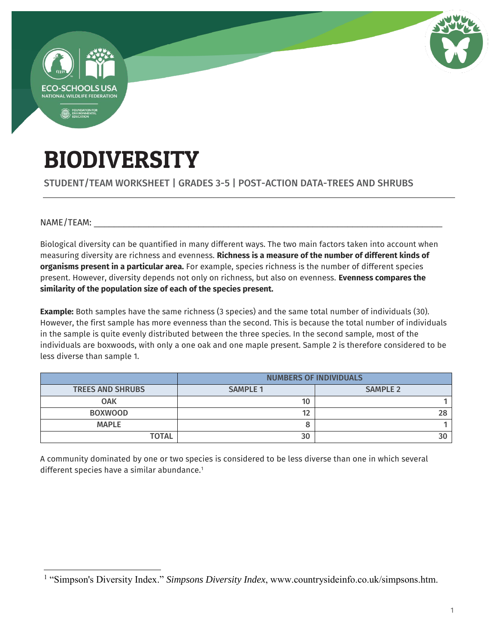

## BIODIVERSITY

STUDENT/TEAM WORKSHEET | GRADES 3-5 | POST-ACTION DATA-TREES AND SHRUBS

 $NAME/TEAM:$ 

Biological diversity can be quantified in many different ways. The two main factors taken into account when measuring diversity are richness and evenness. **Richness is a measure of the number of different kinds of organisms present in a particular area.** For example, species richness is the number of different species present. However, diversity depends not only on richness, but also on evenness. **Evenness compares the similarity of the population size of each of the species present.**

**Example:** Both samples have the same richness (3 species) and the same total number of individuals (30). However, the first sample has more evenness than the second. This is because the total number of individuals in the sample is quite evenly distributed between the three species. In the second sample, most of the individuals are boxwoods, with only a one oak and one maple present. Sample 2 is therefore considered to be less diverse than sample 1.

|                         | <b>NUMBERS OF INDIVIDUALS</b> |                 |  |
|-------------------------|-------------------------------|-----------------|--|
| <b>TREES AND SHRUBS</b> | <b>SAMPLE 1</b>               | <b>SAMPLE 2</b> |  |
| <b>OAK</b>              | 10                            |                 |  |
| <b>BOXWOOD</b>          | 12                            | 28              |  |
| <b>MAPLE</b>            |                               |                 |  |
| <b>TOTAL</b>            | 30                            |                 |  |

A community dominated by one or two species is considered to be less diverse than one in which several different species have a similar abundance.<sup>1</sup>

 $\overline{a}$ <sup>1</sup> "Simpson's Diversity Index." *Simpsons Diversity Index*, www.countrysideinfo.co.uk/simpsons.htm.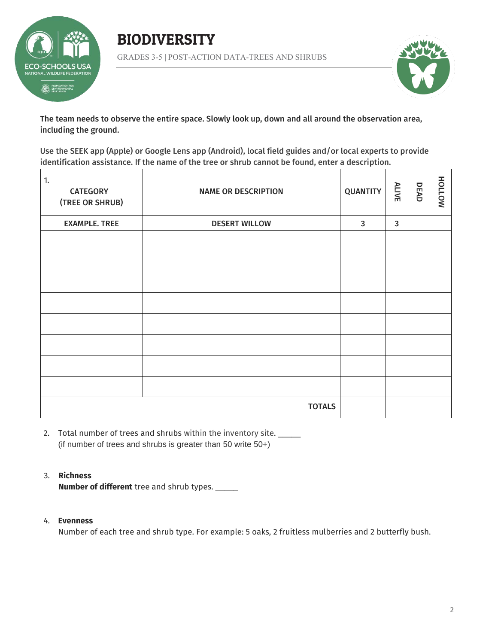





The team needs to observe the entire space. Slowly look up, down and all around the observation area, including the ground.

Use the SEEK app (Apple) or Google Lens app (Android), local field guides and/or local experts to provide identification assistance. If the name of the tree or shrub cannot be found, enter a description.

| 1.<br><b>CATEGORY</b><br>(TREE OR SHRUB) | <b>NAME OR DESCRIPTION</b> | <b>QUANTITY</b> | ALIVE        | DEAD | NOTTOH |
|------------------------------------------|----------------------------|-----------------|--------------|------|--------|
| <b>EXAMPLE. TREE</b>                     | <b>DESERT WILLOW</b>       | $\mathbf{3}$    | $\mathbf{3}$ |      |        |
|                                          |                            |                 |              |      |        |
|                                          |                            |                 |              |      |        |
|                                          |                            |                 |              |      |        |
|                                          |                            |                 |              |      |        |
|                                          |                            |                 |              |      |        |
|                                          |                            |                 |              |      |        |
|                                          |                            |                 |              |      |        |
|                                          |                            |                 |              |      |        |
| <b>TOTALS</b>                            |                            |                 |              |      |        |

2. Total number of trees and shrubs within the inventory site. (if number of trees and shrubs is greater than 50 write 50+)

## 3. **Richness**

**Number of different** tree and shrub types. \_\_\_\_\_

## 4. **Evenness**

Number of each tree and shrub type. For example: 5 oaks, 2 fruitless mulberries and 2 butterfly bush.